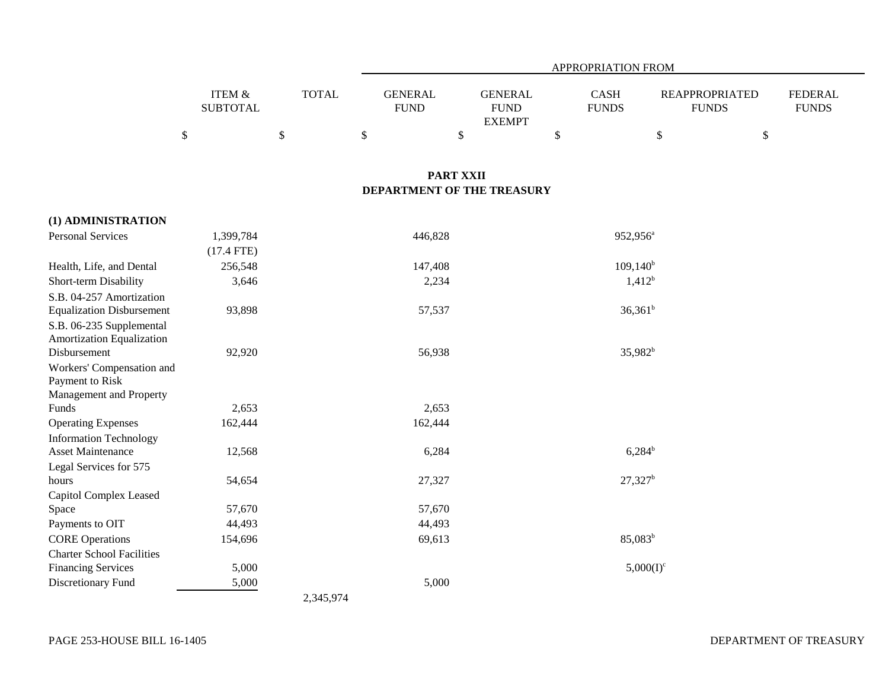|                 |              |                | <b>APPROPRIATION FROM</b> |                              |              |                       |                |  |  |  |
|-----------------|--------------|----------------|---------------------------|------------------------------|--------------|-----------------------|----------------|--|--|--|
| ITEM &          | <b>TOTAL</b> | <b>GENERAL</b> |                           | GENERAL                      | <b>CASH</b>  | <b>REAPPROPRIATED</b> | <b>FEDERAL</b> |  |  |  |
| <b>SUBTOTAL</b> |              | <b>FUND</b>    |                           | <b>FUND</b><br><b>EXEMPT</b> | <b>FUNDS</b> | <b>FUNDS</b>          | <b>FUNDS</b>   |  |  |  |
|                 |              |                |                           |                              |              |                       |                |  |  |  |
|                 |              |                |                           |                              |              |                       |                |  |  |  |

## **PART XXII DEPARTMENT OF THE TREASURY**

| (1) ADMINISTRATION               |              |           |                       |
|----------------------------------|--------------|-----------|-----------------------|
| <b>Personal Services</b>         | 1,399,784    | 446,828   | 952,956 <sup>a</sup>  |
|                                  | $(17.4$ FTE) |           |                       |
| Health, Life, and Dental         | 256,548      | 147,408   | $109,140^{\rm b}$     |
| Short-term Disability            | 3,646        | 2,234     | $1,412^b$             |
| S.B. 04-257 Amortization         |              |           |                       |
| <b>Equalization Disbursement</b> | 93,898       | 57,537    | $36,361^b$            |
| S.B. 06-235 Supplemental         |              |           |                       |
| Amortization Equalization        |              |           |                       |
| Disbursement                     | 92,920       | 56,938    | $35,982^b$            |
| Workers' Compensation and        |              |           |                       |
| Payment to Risk                  |              |           |                       |
| Management and Property          |              |           |                       |
| Funds                            | 2,653        | 2,653     |                       |
| <b>Operating Expenses</b>        | 162,444      | 162,444   |                       |
| <b>Information Technology</b>    |              |           |                       |
| <b>Asset Maintenance</b>         | 12,568       | 6,284     | $6,284^b$             |
| Legal Services for 575           |              |           |                       |
| hours                            | 54,654       | 27,327    | $27,327$ <sup>b</sup> |
| Capitol Complex Leased           |              |           |                       |
| Space                            | 57,670       | 57,670    |                       |
| Payments to OIT                  | 44,493       | 44,493    |                       |
| <b>CORE Operations</b>           | 154,696      | 69,613    | $85,083^b$            |
| <b>Charter School Facilities</b> |              |           |                       |
| <b>Financing Services</b>        | 5,000        |           | $5,000(I)^c$          |
| Discretionary Fund               | 5,000        | 5,000     |                       |
|                                  |              | 2,345,974 |                       |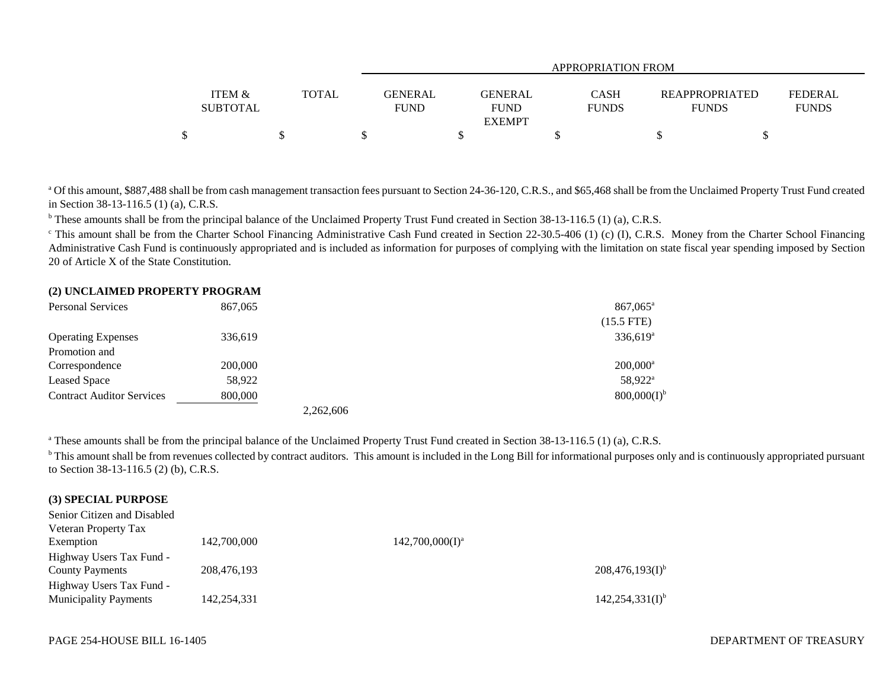|                                      |              |                        |                               | APPROPRIATION FROM   |                                       |                                |
|--------------------------------------|--------------|------------------------|-------------------------------|----------------------|---------------------------------------|--------------------------------|
| <b>ITEM &amp;</b><br><b>SUBTOTAL</b> | <b>TOTAL</b> | GENERAL<br><b>FUND</b> | <b>GENERAL</b><br><b>FUND</b> | CASH<br><b>FUNDS</b> | <b>REAPPROPRIATED</b><br><b>FUNDS</b> | <b>FEDERAL</b><br><b>FUNDS</b> |
|                                      |              |                        | <b>EXEMPT</b>                 |                      |                                       |                                |
|                                      |              |                        |                               |                      |                                       |                                |

<sup>a</sup> Of this amount, \$887,488 shall be from cash management transaction fees pursuant to Section 24-36-120, C.R.S., and \$65,468 shall be from the Unclaimed Property Trust Fund created in Section 38-13-116.5 (1) (a), C.R.S.

<sup>b</sup> These amounts shall be from the principal balance of the Unclaimed Property Trust Fund created in Section 38-13-116.5 (1) (a), C.R.S.

<sup>c</sup> This amount shall be from the Charter School Financing Administrative Cash Fund created in Section 22-30.5-406 (1) (c) (I), C.R.S. Money from the Charter School Financing Administrative Cash Fund is continuously appropriated and is included as information for purposes of complying with the limitation on state fiscal year spending imposed by Section 20 of Article X of the State Constitution.

#### **(2) UNCLAIMED PROPERTY PROGRAM**

| <b>Personal Services</b>         | 867,065   | $867,065^{\circ}$      |
|----------------------------------|-----------|------------------------|
|                                  |           | $(15.5$ FTE)           |
| <b>Operating Expenses</b>        | 336,619   | $336,619^a$            |
| Promotion and                    |           |                        |
| Correspondence                   | 200,000   | $200,000$ <sup>a</sup> |
| Leased Space                     | 58,922    | 58.922 <sup>a</sup>    |
| <b>Contract Auditor Services</b> | 800,000   | $800,000(I)^{6}$       |
|                                  | 2,262,606 |                        |

<sup>a</sup> These amounts shall be from the principal balance of the Unclaimed Property Trust Fund created in Section 38-13-116.5 (1) (a), C.R.S.

<sup>b</sup> This amount shall be from revenues collected by contract auditors. This amount is included in the Long Bill for informational purposes only and is continuously appropriated pursuant to Section 38-13-116.5 (2) (b), C.R.S.

### **(3) SPECIAL PURPOSE**

| Senior Citizen and Disabled  |             |                    |                      |
|------------------------------|-------------|--------------------|----------------------|
| Veteran Property Tax         |             |                    |                      |
| Exemption                    | 142,700,000 | $142,700,000(I)^a$ |                      |
| Highway Users Tax Fund -     |             |                    |                      |
| <b>County Payments</b>       | 208,476,193 |                    | $208,476,193(I)^{b}$ |
| Highway Users Tax Fund -     |             |                    |                      |
| <b>Municipality Payments</b> | 142,254,331 |                    | $142,254,331(I)^{b}$ |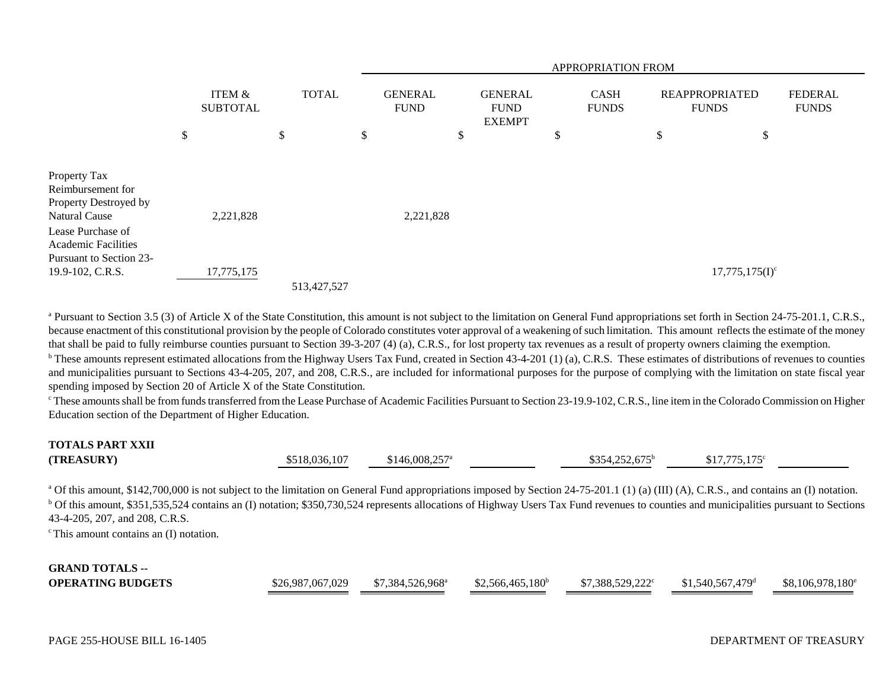|                                                 | APPROPRIATION FROM        |    |              |    |                               |    |                                                |    |                             |                                       |                                |
|-------------------------------------------------|---------------------------|----|--------------|----|-------------------------------|----|------------------------------------------------|----|-----------------------------|---------------------------------------|--------------------------------|
|                                                 | ITEM &<br><b>SUBTOTAL</b> |    | <b>TOTAL</b> |    | <b>GENERAL</b><br><b>FUND</b> |    | <b>GENERAL</b><br><b>FUND</b><br><b>EXEMPT</b> |    | <b>CASH</b><br><b>FUNDS</b> | <b>REAPPROPRIATED</b><br><b>FUNDS</b> | <b>FEDERAL</b><br><b>FUNDS</b> |
|                                                 | \$                        | \$ |              | \$ |                               | \$ |                                                | \$ |                             | \$<br>\$                              |                                |
|                                                 |                           |    |              |    |                               |    |                                                |    |                             |                                       |                                |
| Property Tax<br>Reimbursement for               |                           |    |              |    |                               |    |                                                |    |                             |                                       |                                |
| Property Destroyed by                           |                           |    |              |    |                               |    |                                                |    |                             |                                       |                                |
| <b>Natural Cause</b>                            | 2,221,828                 |    |              |    | 2,221,828                     |    |                                                |    |                             |                                       |                                |
| Lease Purchase of<br><b>Academic Facilities</b> |                           |    |              |    |                               |    |                                                |    |                             |                                       |                                |
| Pursuant to Section 23-<br>19.9-102, C.R.S.     | 17,775,175                |    |              |    |                               |    |                                                |    |                             | $17,775,175(I)^c$                     |                                |
|                                                 |                           |    | 513,427,527  |    |                               |    |                                                |    |                             |                                       |                                |

<sup>a</sup> Pursuant to Section 3.5 (3) of Article X of the State Constitution, this amount is not subject to the limitation on General Fund appropriations set forth in Section 24-75-201.1, C.R.S., because enactment of this constitutional provision by the people of Colorado constitutes voter approval of a weakening of such limitation. This amount reflects the estimate of the money that shall be paid to fully reimburse counties pursuant to Section 39-3-207 (4) (a), C.R.S., for lost property tax revenues as a result of property owners claiming the exemption.

<sup>b</sup> These amounts represent estimated allocations from the Highway Users Tax Fund, created in Section 43-4-201 (1) (a), C.R.S. These estimates of distributions of revenues to counties and municipalities pursuant to Sections 43-4-205, 207, and 208, C.R.S., are included for informational purposes for the purpose of complying with the limitation on state fiscal year spending imposed by Section 20 of Article X of the State Constitution.

<sup>c</sup> These amounts shall be from funds transferred from the Lease Purchase of Academic Facilities Pursuant to Section 23-19.9-102, C.R.S., line item in the Colorado Commission on Higher Education section of the Department of Higher Education.

# **TOTALS PART XXII**

| (TREASURY) | \$518.036.107 | $$146,008,257^a$ | $$354,252,675^b$ | $$17,775,175$ <sup>c</sup> |  |
|------------|---------------|------------------|------------------|----------------------------|--|
|            |               |                  |                  |                            |  |

<sup>a</sup> Of this amount, \$142,700,000 is not subject to the limitation on General Fund appropriations imposed by Section 24-75-201.1 (1) (a) (III) (A), C.R.S., and contains an (I) notation. <sup>b</sup> Of this amount, \$351,535,524 contains an (I) notation; \$350,730,524 represents allocations of Highway Users Tax Fund revenues to counties and municipalities pursuant to Sections 43-4-205, 207, and 208, C.R.S.

 $\textdegree$  This amount contains an (I) notation.

#### **GRAND TOTALS --OPERATING BUDGETS** $$26,987,067,029$   $$7,384,526,968^a$   $$2,566,465,180^b$   $$7,388,529,222^c$   $$1,540,567,479^d$   $$8,106,978,180^e$